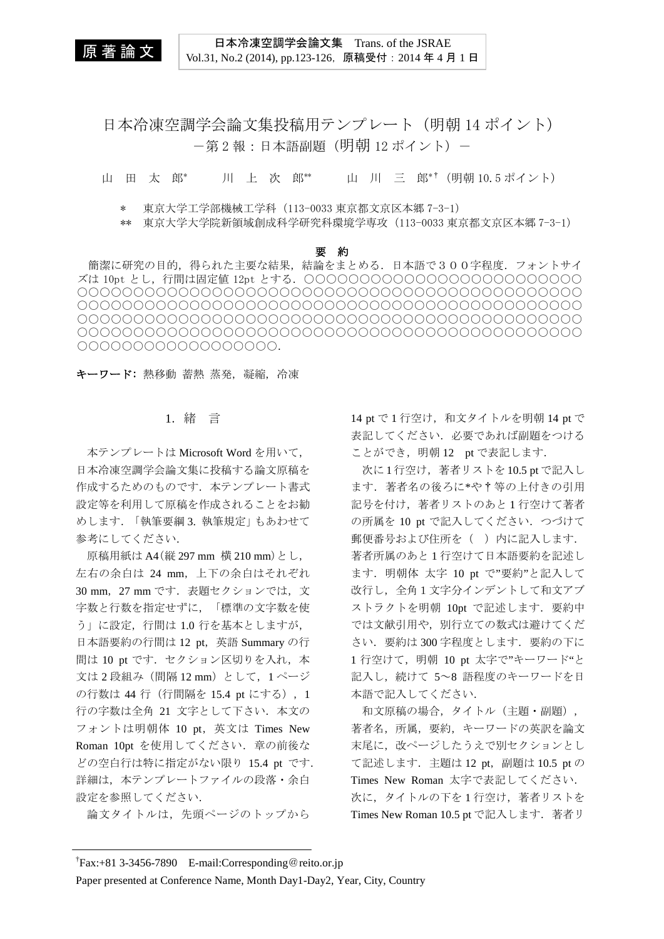原 著 論 文

日本冷凍空調学会論文集 Trans. of the JSRAE Vol.31, No.2 (2014), pp.123-126,原稿受付:2014 年 4 月 1 日

日本冷凍空調学会論文集投稿用テンプレート(明朝 14 ポイント) ー第2報:日本語副題(明朝 12 ポイント)-

山 田 太 郎\* 川 上 次 郎\*\* 山 川 三 郎\*†(明朝 10.5 ポイント)

\* 東京大学工学部機械工学科(113-0033 東京都文京区本郷 7-3-1)

\*\* 東京大学大学院新領域創成科学研究科環境学専攻(113-0033 東京都文京区本郷 7-3-1)

#### 要 約

簡潔に研究の目的,得られた主要な結果,結論をまとめる.日本語で300字程度.フォントサイ ズは 10pt とし,行間は固定値 12pt とする.○○○○○○○○○○○○○○○○○○○○○○○○○ ○○○○○○○○○○○○○○○○○○○○○○○○○○○○○○○○○○○○○○○○○○○○○ ○○○○○○○○○○○○○○○○○○○○○○○○○○○○○○○○○○○○○○○○○○○○○ ○○○○○○○○○○○○○○○○○○○○○○○○○○○○○○○○○○○○○○○○○○○○○ ○○○○○○○○○○○○○○○○○○○○○○○○○○○○○○○○○○○○○○○○○○○○○ ○○○○○○○○○○○○○○○○○○.

## キーワード: 熱移動 蓄熱 蒸発, 凝縮, 冷凍

## 1.緒 言

本テンプレートは Microsoft Word を用いて, 日本冷凍空調学会論文集に投稿する論文原稿を 作成するためのものです. 本テンプレート書式 設定等を利用して原稿を作成されることをお勧 めします.「執筆要綱 3. 執筆規定」もあわせて 参考にしてください.

原稿用紙は A4(縦 297 mm 横 210 mm)とし, 左右の余白は 24 mm,上下の余白はそれぞれ 30 mm,27 mm です.表題セクションでは,文 字数と行数を指定せずに,「標準の文字数を使 う」に設定,行間は 1.0 行を基本としますが, 日本語要約の行間は 12 pt,英語 Summary の行 間は 10 pt です. セクション区切りを入れ, 本 文は 2 段組み (間隔 12 mm) として, 1 ページ の行数は 44 行 (行間隔を 15.4 pt にする), 1 行の字数は全角 21 文字として下さい. 本文の フォントは明朝体 10 pt,英文は Times New Roman 10pt を使用してください.章の前後な どの空白行は特に指定がない限り 15.4 pt です. 詳細は,本テンプレートファイルの段落・余白 設定を参照してください.

論文タイトルは,先頭ページのトップから

14 pt で 1 行空け, 和文タイトルを明朝 14 pt で 表記してください. 必要であれば副題をつける ことができ, 明朝 12 pt で表記します.

次に1行空け,著者リストを10.5 pt で記入し ます. 著者名の後ろに\*や†等の上付きの引用 記号を付け、著者リストのあと1行空けて著者 の所属を 10 pt で記入してください. つづけて 郵便番号および住所を() 内に記入します. 著者所属のあと 1 行空けて日本語要約を記述し ます. 明朝体 太字 10 pt で"要約"と記入して 改行し、全角1文字分インデントして和文アブ ストラクトを明朝 10pt で記述します. 要約中 では文献引用や,別行立ての数式は避けてくだ さい.要約は 300 字程度とします.要約の下に 1 行空けて, 明朝 10 pt 太字で"キーワード"と 記入し、続けて 5~8 語程度のキーワードを日 本語で記入してください.

和文原稿の場合,タイトル(主題・副題), 著者名,所属,要約,キーワードの英訳を論文 末尾に、改ページしたうえで別セクションとし て記述します. 主題は 12 pt, 副題は 10.5 pt の Times New Roman 太字で表記してください. 次に、タイトルの下を1行空け、著者リストを Times New Roman 10.5 pt で記入します. 著者リ

<sup>†</sup> Fax:+81 3-3456-7890 E-mail:Corresponding@reito.or.jp

Paper presented at Conference Name, Month Day1-Day2, Year, City, Country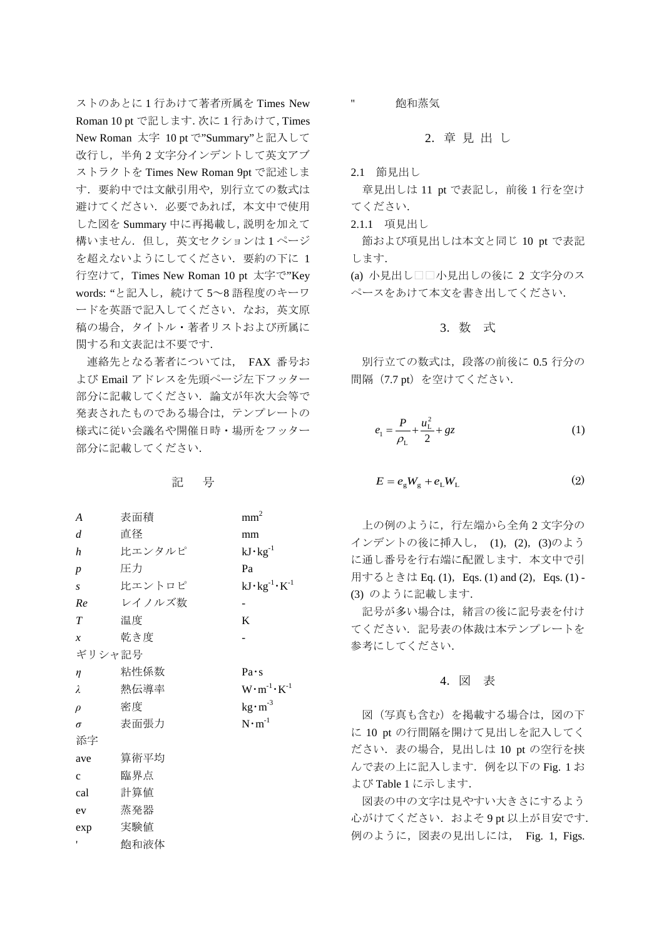ストのあとに 1 行あけて著者所属を Times New Roman 10 pt で記します.次に 1 行あけて,Times New Roman 太字 10 pt で"Summary"と記入して 改行し,半角 2 文字分インデントして英文アブ ストラクトを Times New Roman 9pt で記述しま す.要約中では文献引用や,別行立ての数式は 避けてください.必要であれば,本文中で使用 した図を Summary 中に再掲載し,説明を加えて 構いません. 但し、英文セクションは1ページ を超えないようにしてください.要約の下に 1 行空けて, Times New Roman 10 pt 太字で"Key words: "と記入し, 続けて 5~8 語程度のキーワ ードを英語で記入してください. なお、英文原 稿の場合,タイトル・著者リストおよび所属に 関する和文表記は不要です.

連絡先となる著者については, FAX 番号お よび Email アドレスを先頭ページ左下フッター 部分に記載してください.論文が年次大会等で 発表されたものである場合は,テンプレートの 様式に従い会議名や開催日時・場所をフッター 部分に記載してください.

記 号

| A                | 表面積    | mm <sup>2</sup>                 |  |  |
|------------------|--------|---------------------------------|--|--|
| d                | 直径     | mm                              |  |  |
| h                | 比エンタルピ | $kJ \cdot kg^{-1}$              |  |  |
| $\boldsymbol{p}$ | 圧力     | Pa                              |  |  |
| $\overline{S}$   | 比エントロピ | $kJ \cdot kg^{-1} \cdot K^{-1}$ |  |  |
| Re               | レイノルズ数 |                                 |  |  |
| T                | 温度     | K                               |  |  |
| $\boldsymbol{x}$ | 乾き度    |                                 |  |  |
| ギリシャ記号           |        |                                 |  |  |
| $\eta$           | 粘性係数   | Pa·s                            |  |  |
| λ                | 熱伝導率   | $W \cdot m^{-1} \cdot K^{-1}$   |  |  |
| $\rho$           | 密度     | $\text{kg} \cdot \text{m}^{-3}$ |  |  |
| $\sigma$         | 表面張力   | $N \cdot m^{-1}$                |  |  |
| 添字               |        |                                 |  |  |
| ave              | 算術平均   |                                 |  |  |
| $\mathbf{C}$     | 臨界点    |                                 |  |  |
| cal              | 計算値    |                                 |  |  |
| ev               | 蒸発器    |                                 |  |  |
| exp              | 実験値    |                                 |  |  |
| ۱                | 飽和液体   |                                 |  |  |
|                  |        |                                 |  |  |

飽和蒸気

#### 2.章 見 出 し

2.1 節見出し

''

章見出しは 11 pt で表記し, 前後 1 行を空け てください.

2.1.1 項見出し

節および項見出しは本文と同じ 10 pt で表記 します.

(a) 小見出し□□小見出しの後に 2 文字分のス ペースをあけて本文を書き出してください.

#### 3.数 式

別行立ての数式は,段落の前後に 0.5 行分の 間隔 (7.7 pt) を空けてください.

$$
e_1 = \frac{P}{\rho_L} + \frac{u_L^2}{2} + gz \tag{1}
$$

$$
E = e_{g}W_{g} + e_{L}W_{L}
$$
 (2)

上の例のように,行左端から全角 2 文字分の インデントの後に挿入し, (1),(2),(3)のよう に通し番号を行右端に配置します. 本文中で引 用するときは Eq. (1), Eqs. (1) and (2), Eqs. (1) -(3) のように記載します.

記号が多い場合は、緒言の後に記号表を付け てください.記号表の体裁は本テンプレートを 参考にしてください.

#### 4.図 表

図(写真も含む)を掲載する場合は、図の下 に 10 pt の行間隔を開けて見出しを記入してく ださい.表の場合,見出しは 10 pt の空行を挟 んで表の上に記入します. 例を以下の Fig. 1 お よび Table 1 に示します.

図表の中の文字は見やすい大きさにするよう 心がけてください. およそ9pt 以上が目安です. 例のように,図表の見出しには, Fig. 1, Figs.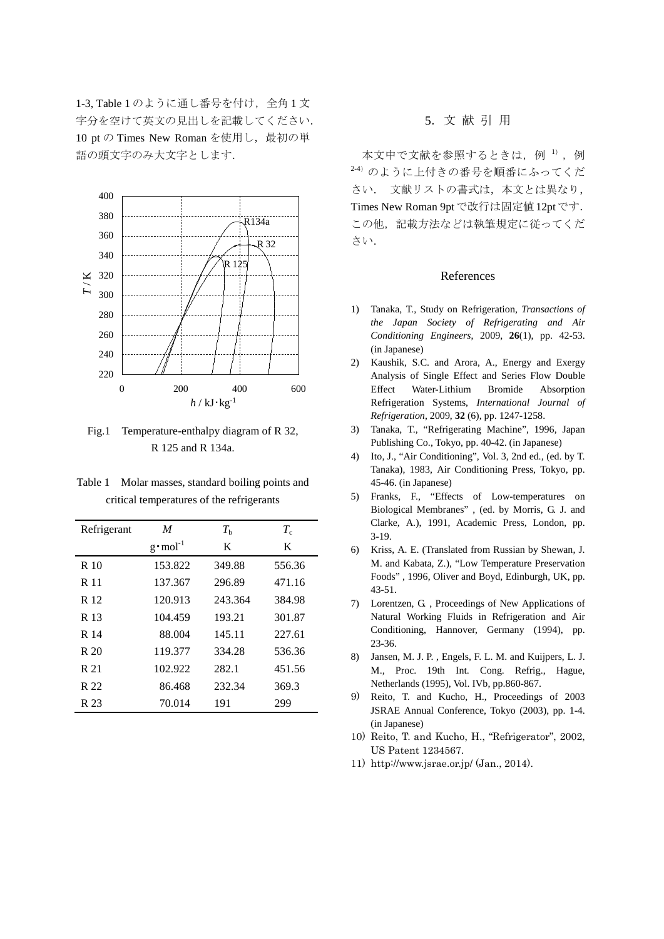1-3, Table 1 のように通し番号を付け, 全角 1 文 字分を空けて英文の見出しを記載してください. 10 pt の Times New Roman を使用し,最初の単 語の頭文字のみ大文字とします.



Fig.1 Temperature-enthalpy diagram of R 32, R 125 and R 134a.

Table 1 Molar masses, standard boiling points and critical temperatures of the refrigerants

| Refrigerant | M                  | $T_{\rm h}$ | $T_{\rm c}$ |
|-------------|--------------------|-------------|-------------|
|             | $g \cdot mol^{-1}$ | K           | K           |
| R 10        | 153.822            | 349.88      | 556.36      |
| R 11        | 137.367            | 296.89      | 471.16      |
| R 12        | 120.913            | 243.364     | 384.98      |
| R 13        | 104.459            | 193.21      | 301.87      |
| R 14        | 88.004             | 145.11      | 227.61      |
| R 20        | 119.377            | 334.28      | 536.36      |
| R 21        | 102.922            | 282.1       | 451.56      |
| R 22        | 86.468             | 232.34      | 369.3       |
| R 23        | 70.014             | 191         | 299         |

## 5.文 献 引 用

本文中で文献を参照するときは、例 1),例 2-4) のように上付きの番号を順番にふってくだ さい. 文献リストの書式は,本文とは異なり, Times New Roman 9ptで改行は固定値12ptです. この他、記載方法などは執筆規定に従ってくだ さい.

### References

- 1) Tanaka, T., Study on Refrigeration, *Transactions of the Japan Society of Refrigerating and Air Conditioning Engineers*, 2009, **26**(1), pp. 42-53. (in Japanese)
- 2) Kaushik, S.C. and Arora, A., Energy and Exergy Analysis of Single Effect and Series Flow Double Effect Water-Lithium Bromide Absorption Refrigeration Systems, *International Journal of Refrigeration*, 2009, **32** (6), pp. 1247-1258.
- 3) Tanaka, T., "Refrigerating Machine", 1996, Japan Publishing Co., Tokyo, pp. 40-42. (in Japanese)
- 4) Ito, J., "Air Conditioning", Vol. 3, 2nd ed., (ed. by T. Tanaka), 1983, Air Conditioning Press, Tokyo, pp. 45-46. (in Japanese)
- 5) Franks, F., "Effects of Low-temperatures on Biological Membranes" , (ed. by Morris, G. J. and Clarke, A.), 1991, Academic Press, London, pp. 3-19.
- 6) Kriss, A. E. (Translated from Russian by Shewan, J. M. and Kabata, Z.), "Low Temperature Preservation Foods" , 1996, Oliver and Boyd, Edinburgh, UK, pp. 43-51.
- 7) Lorentzen, G. , Proceedings of New Applications of Natural Working Fluids in Refrigeration and Air Conditioning, Hannover, Germany (1994), pp. 23-36.
- 8) Jansen, M. J. P. , Engels, F. L. M. and Kuijpers, L. J. M., Proc. 19th Int. Cong. Refrig., Hague, Netherlands (1995), Vol. IVb, pp.860-867.
- 9) Reito, T. and Kucho, H., Proceedings of 2003 JSRAE Annual Conference, Tokyo (2003), pp. 1-4. (in Japanese)
- 10) Reito, T. and Kucho, H., "Refrigerator", 2002, US Patent 1234567.
- 11) http://www.jsrae.or.jp/ (Jan., 2014).